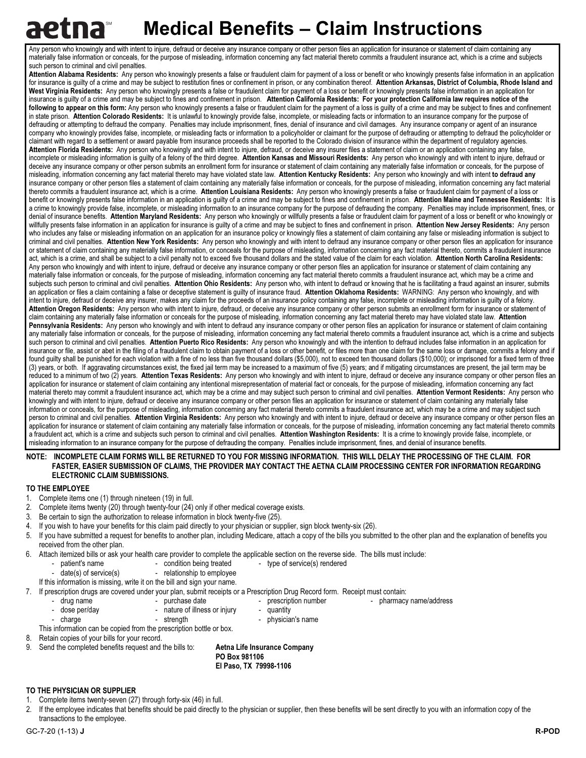# **Medical Benefits – Claim Instructions**

Any person who knowingly and with intent to injure, defraud or deceive any insurance company or other person files an application for insurance or statement of claim containing any materially false information or conceals, for the purpose of misleading, information concerning any fact material thereto commits a fraudulent insurance act, which is a crime and subjects such person to criminal and civil penalties.

Attention Alabama Residents: Any person who knowingly presents a false or fraudulent claim for payment of a loss or benefit or who knowingly presents false information in an application for insurance is guilty of a crime and may be subject to restitution fines or confinement in prison, or any combination thereof. Attention Arkansas, District of Columbia, Rhode Island and West Virginia Residents: Any person who knowingly presents a false or fraudulent claim for payment of a loss or benefit or knowingly presents false information in an application for insurance is guilty of a crime and may be subject to fines and confinement in prison. Attention California Residents: For your protection California law requires notice of the following to appear on this form: Any person who knowingly presents a false or fraudulent claim for the payment of a loss is guilty of a crime and may be subject to fines and confinement in state prison. Attention Colorado Residents: It is unlawful to knowingly provide false, incomplete, or misleading facts or information to an insurance company for the purpose of defrauding or attempting to defraud the company. Penalties may include imprisonment, fines, denial of insurance and civil damages. Any insurance company or agent of an insurance company who knowingly provides false, incomplete, or misleading facts or information to a policyholder or claimant for the purpose of defrauding or attempting to defraud the policyholder or claimant with regard to a settlement or award payable from insurance proceeds shall be reported to the Colorado division of insurance within the department of regulatory agencies. Attention Florida Residents: Any person who knowingly and with intent to injure, defraud, or deceive any insurer files a statement of claim or an application containing any false, incomplete or misleading information is guilty of a felony of the third degree. Attention Kansas and Missouri Residents: Any person who knowingly and with intent to injure, defraud or deceive any insurance company or other person submits an enrollment form for insurance or statement of claim containing any materially false information or conceals, for the purpose of misleading, information concerning any fact material thereto may have violated state law. Attention Kentucky Residents: Any person who knowingly and with intent to defraud any insurance company or other person files a statement of claim containing any materially false information or conceals, for the purpose of misleading, information concerning any fact material thereto commits a fraudulent insurance act, which is a crime. Attention Louisiana Residents: Any person who knowingly presents a false or fraudulent claim for payment of a loss or benefit or knowingly presents false information in an application is guilty of a crime and may be subject to fines and confinement in prison. Attention Maine and Tennessee Residents: It is a crime to knowingly provide false, incomplete, or misleading information to an insurance company for the purpose of defrauding the company. Penalties may include imprisonment, fines, or denial of insurance benefits. Attention Maryland Residents: Any person who knowingly or willfully presents a false or fraudulent claim for payment of a loss or benefit or who knowingly or willfully presents false information in an application for insurance is quilty of a crime and may be subject to fines and confinement in prison. Attention New Jersey Residents: Any person who includes any false or misleading information on an application for an insurance policy or knowingly files a statement of claim containing any false or misleading information is subject to criminal and civil penalties. Attention New York Residents: Any person who knowingly and with intent to defraud any insurance company or other person files an application for insurance or statement of claim containing any materially false information, or conceals for the purpose of misleading, information concerning any fact material thereto, commits a fraudulent insurance act, which is a crime, and shall be subject to a civil penalty not to exceed five thousand dollars and the stated value of the claim for each violation. Attention North Carolina Residents: Any person who knowingly and with intent to injure, defraud or deceive any insurance company or other person files an application for insurance or statement of claim containing any materially false information or conceals, for the purpose of misleading, information concerning any fact material thereto commits a fraudulent insurance act, which may be a crime and subjects such person to criminal and civil penalties. Attention Ohio Residents: Any person who, with intent to defraud or knowing that he is facilitating a fraud against an insurer, submits an application or files a claim containing a false or deceptive statement is guilty of insurance fraud. Attention Oklahoma Residents: WARNING: Any person who knowingly, and with intent to injure, defraud or deceive any insurer, makes any claim for the proceeds of an insurance policy containing any false, incomplete or misleading information is guilty of a felony. Attention Oregon Residents: Any person who with intent to injure, defraud, or deceive any insurance company or other person submits an enrollment form for insurance or statement of claim containing any materially false information or conceals for the purpose of misleading, information concerning any fact material thereto may have violated state law. Attention Pennsylvania Residents: Any person who knowingly and with intent to defraud any insurance company or other person files an application for insurance or statement of claim containing any materially false information or conceals, for the purpose of misleading, information concerning any fact material thereto commits a fraudulent insurance act, which is a crime and subjects such person to criminal and civil penalties. Attention Puerto Rico Residents: Any person who knowingly and with the intention to defraud includes false information in an application for insurance or file, assist or abet in the filing of a fraudulent claim to obtain payment of a loss or other benefit, or files more than one claim for the same loss or damage, commits a felony and if found guilty shall be punished for each violation with a fine of no less than five thousand dollars (\$5,000), not to exceed ten thousand dollars (\$10,000); or imprisoned for a fixed term of three (3) years, or both. If aggravating circumstances exist, the fixed jail term may be increased to a maximum of five (5) years; and if mitigating circumstances are present, the jail term may be reduced to a minimum of two (2) years. Attention Texas Residents: Any person who knowingly and with intent to injure, defraud or deceive any insurance company or other person files an application for insurance or statement of claim containing any intentional misrepresentation of material fact or conceals, for the purpose of misleading, information concerning any fact material thereto may commit a fraudulent insurance act, which may be a crime and may subject such person to criminal and civil penalties. Attention Vermont Residents: Any person who knowingly and with intent to injure, defraud or deceive any insurance company or other person files an application for insurance or statement of claim containing any materially false information or conceals, for the purpose of misleading, information concerning any fact material thereto commits a fraudulent insurance act, which may be a crime and may subject such person to criminal and civil penalties. Attention Virginia Residents: Any person who knowingly and with intent to injure, defraud or deceive any insurance company or other person files an application for insurance or statement of claim containing any materially false information or conceals, for the purpose of misleading, information concerning any fact material thereto commits a fraudulent act, which is a crime and subjects such person to criminal and civil penalties. Attention Washington Residents: It is a crime to knowingly provide false, incomplete, or misleading information to an insurance company for the purpose of defrauding the company. Penalties include imprisonment, fines, and denial of insurance benefits.

### NOTE: INCOMPLETE CLAIM FORMS WILL BE RETURNED TO YOU FOR MISSING INFORMATION. THIS WILL DELAY THE PROCESSING OF THE CLAIM. FOR FASTER, EASIER SUBMISSION OF CLAIMS, THE PROVIDER MAY CONTACT THE AETNA CLAIM PROCESSING CENTER FOR INFORMATION REGARDING ELECTRONIC CLAIM SUBMISSIONS.

## TO THE EMPLOYEE

- 1. Complete items one (1) through nineteen (19) in full.
- 2. Complete items twenty (20) through twenty-four (24) only if other medical coverage exists.
- 3. Be certain to sign the authorization to release information in block twenty-five (25).
- 4. If you wish to have your benefits for this claim paid directly to your physician or supplier, sign block twenty-six (26).
- 5. If you have submitted a request for benefits to another plan, including Medicare, attach a copy of the bills you submitted to the other plan and the explanation of benefits you received from the other plan.
- 6. Attach itemized bills or ask your health care provider to complete the applicable section on the reverse side. The bills must include:<br>- patient's name condition being treated type of service(s) rendered
	- patient's name condition being treated type of service(s) rendered<br>- date(s) of service(s) relationship to employee
	- relationship to employee
	- If this information is missing, write it on the bill and sign your name.
- 7. If prescription drugs are covered under your plan, submit receipts or a Prescription Drug Record form. Receipt must contain:
	-
	- drug name purchase date - prescription number - pharmacy name/address<br>- dose per/day - nature of illness or injury quantity
		- nature of illness or injury quantity
- 
- charge strength strength physician's name
	-
- This information can be copied from the prescription bottle or box.
- 8. Retain copies of your bills for your record.
- 9. Send the completed benefits request and the bills to: **Aetna Life Insurance Company**

 PO Box 981106 El Paso, TX 79998-1106

#### TO THE PHYSICIAN OR SUPPLIER

- 1. Complete items twenty-seven (27) through forty-six (46) in full.
- 2. If the employee indicates that benefits should be paid directly to the physician or supplier, then these benefits will be sent directly to you with an information copy of the transactions to the employee.